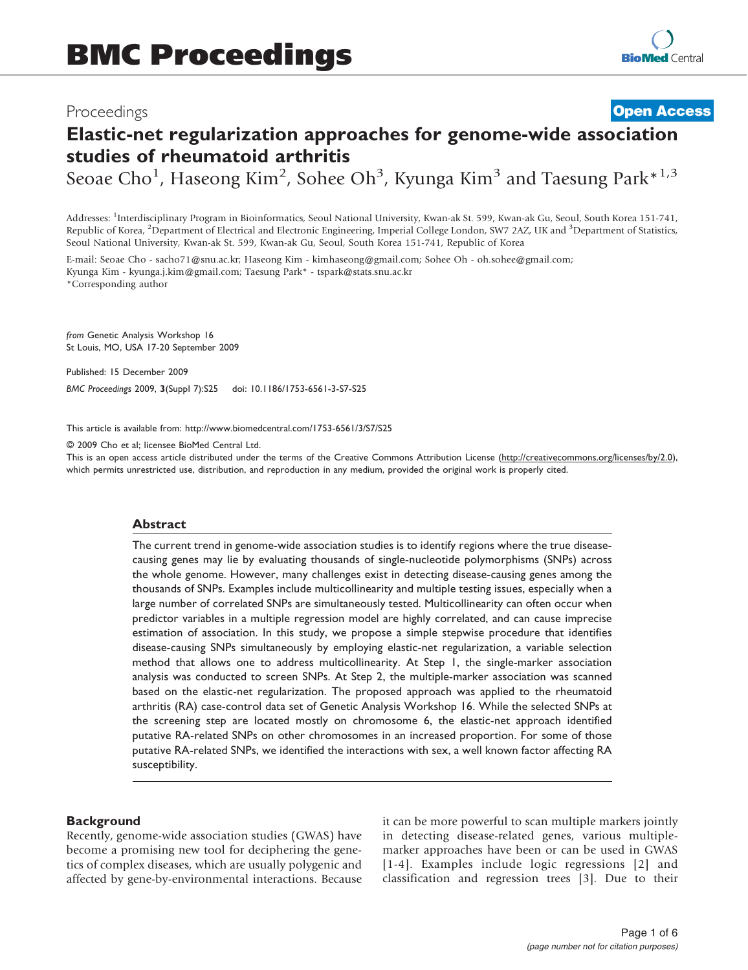# Proceedings

# **[Open Access](http://www.biomedcentral.com/info/about/charter/)**

# Elastic-net regularization approaches for genome-wide association studies of rheumatoid arthritis

Seoae Cho<sup>1</sup>, Haseong Kim<sup>2</sup>, Sohee Oh<sup>3</sup>, Kyunga Kim<sup>3</sup> and Taesung Park\*<sup>1,3</sup>

Addresses: <sup>1</sup> Interdisciplinary Program in Bioinformatics, Seoul National University, Kwan-ak St. 599, Kwan-ak Gu, Seoul, South Korea 151-741, Republic of Korea, <sup>2</sup>Department of Electrical and Electronic Engineering, Imperial College London, SW7 2AZ, UK and <sup>3</sup>Department of Statistics, Seoul National University, Kwan-ak St. 599, Kwan-ak Gu, Seoul, South Korea 151-741, Republic of Korea

E-mail: Seoae Cho - [sacho71@snu.ac.kr;](mailto:sacho71@snu.ac.kr) Haseong Kim - [kimhaseong@gmail.com](mailto:kimhaseong@gmail.com); Sohee Oh - [oh.sohee@gmail.com;](mailto:oh.sohee@gmail.com) Kyunga Kim - [kyunga.j.kim@gmail.com](mailto:kyunga.j.kim@gmail.com); Taesung Park\* - [tspark@stats.snu.ac.kr](mailto:tspark@stats.snu.ac.kr) \*Corresponding author

from Genetic Analysis Workshop 16 St Louis, MO, USA 17-20 September 2009

Published: 15 December 2009

BMC Proceedings 2009, 3(Suppl 7):S25 doi: 10.1186/1753-6561-3-S7-S25

This article is available from: http://www.biomedcentral.com/1753-6561/3/S7/S25

© 2009 Cho et al; licensee BioMed Central Ltd.

This is an open access article distributed under the terms of the Creative Commons Attribution License [\(http://creativecommons.org/licenses/by/2.0\)](http://creativecommons.org/licenses/by/2.0), which permits unrestricted use, distribution, and reproduction in any medium, provided the original work is properly cited.

## Abstract

The current trend in genome-wide association studies is to identify regions where the true diseasecausing genes may lie by evaluating thousands of single-nucleotide polymorphisms (SNPs) across the whole genome. However, many challenges exist in detecting disease-causing genes among the thousands of SNPs. Examples include multicollinearity and multiple testing issues, especially when a large number of correlated SNPs are simultaneously tested. Multicollinearity can often occur when predictor variables in a multiple regression model are highly correlated, and can cause imprecise estimation of association. In this study, we propose a simple stepwise procedure that identifies disease-causing SNPs simultaneously by employing elastic-net regularization, a variable selection method that allows one to address multicollinearity. At Step 1, the single-marker association analysis was conducted to screen SNPs. At Step 2, the multiple-marker association was scanned based on the elastic-net regularization. The proposed approach was applied to the rheumatoid arthritis (RA) case-control data set of Genetic Analysis Workshop 16. While the selected SNPs at the screening step are located mostly on chromosome 6, the elastic-net approach identified putative RA-related SNPs on other chromosomes in an increased proportion. For some of those putative RA-related SNPs, we identified the interactions with sex, a well known factor affecting RA susceptibility.

# **Background**

Recently, genome-wide association studies (GWAS) have become a promising new tool for deciphering the genetics of complex diseases, which are usually polygenic and affected by gene-by-environmental interactions. Because it can be more powerful to scan multiple markers jointly in detecting disease-related genes, various multiplemarker approaches have been or can be used in GWAS [[1-4\]](#page-4-0). Examples include logic regressions [\[2](#page-4-0)] and classification and regression trees [[3](#page-4-0)]. Due to their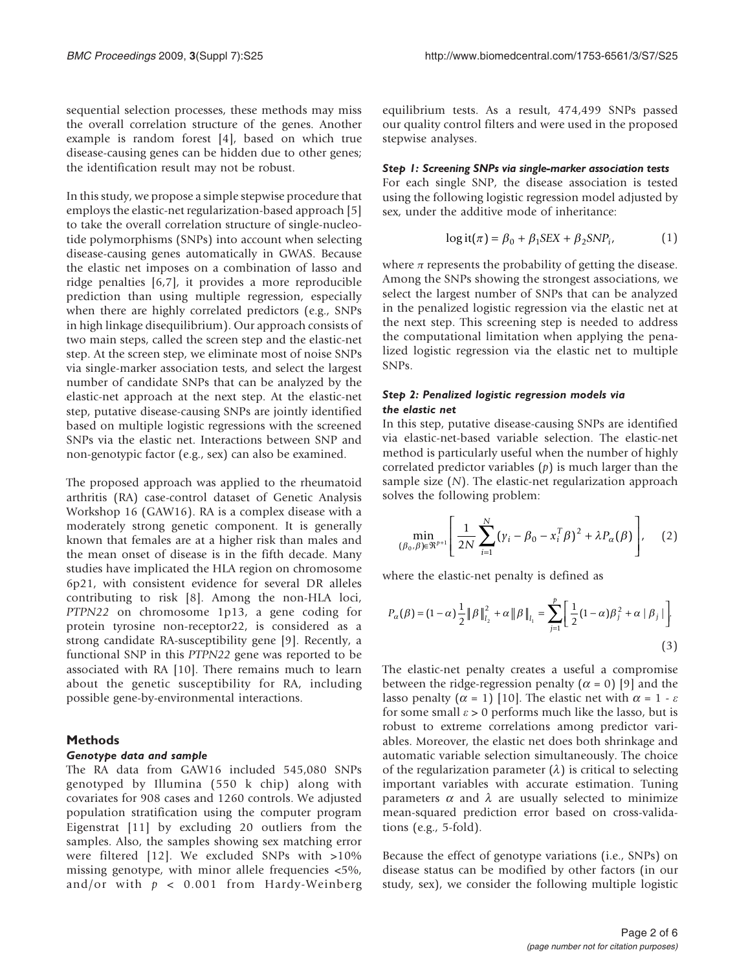sequential selection processes, these methods may miss the overall correlation structure of the genes. Another example is random forest [[4](#page-4-0)], based on which true disease-causing genes can be hidden due to other genes; the identification result may not be robust.

In this study, we propose a simple stepwise procedure that employs the elastic-net regularization-based approach [\[5\]](#page-4-0) to take the overall correlation structure of single-nucleotide polymorphisms (SNPs) into account when selecting disease-causing genes automatically in GWAS. Because the elastic net imposes on a combination of lasso and ridge penalties [[6](#page-5-0),[7](#page-5-0)], it provides a more reproducible prediction than using multiple regression, especially when there are highly correlated predictors (e.g., SNPs in high linkage disequilibrium). Our approach consists of two main steps, called the screen step and the elastic-net step. At the screen step, we eliminate most of noise SNPs via single-marker association tests, and select the largest number of candidate SNPs that can be analyzed by the elastic-net approach at the next step. At the elastic-net step, putative disease-causing SNPs are jointly identified based on multiple logistic regressions with the screened SNPs via the elastic net. Interactions between SNP and non-genotypic factor (e.g., sex) can also be examined.

The proposed approach was applied to the rheumatoid arthritis (RA) case-control dataset of Genetic Analysis Workshop 16 (GAW16). RA is a complex disease with a moderately strong genetic component. It is generally known that females are at a higher risk than males and the mean onset of disease is in the fifth decade. Many studies have implicated the HLA region on chromosome 6p21, with consistent evidence for several DR alleles contributing to risk [[8](#page-5-0)]. Among the non-HLA loci, PTPN22 on chromosome 1p13, a gene coding for protein tyrosine non-receptor22, is considered as a strong candidate RA-susceptibility gene [[9](#page-5-0)]. Recently, a functional SNP in this PTPN22 gene was reported to be associated with RA [[10\]](#page-5-0). There remains much to learn about the genetic susceptibility for RA, including possible gene-by-environmental interactions.

### Methods

#### Genotype data and sample

The RA data from GAW16 included 545,080 SNPs genotyped by Illumina (550 k chip) along with covariates for 908 cases and 1260 controls. We adjusted population stratification using the computer program Eigenstrat [[11\]](#page-5-0) by excluding 20 outliers from the samples. Also, the samples showing sex matching error were filtered [\[12](#page-5-0)]. We excluded SNPs with >10% missing genotype, with minor allele frequencies <5%, and/or with  $p \lt 0.001$  from Hardy-Weinberg equilibrium tests. As a result, 474,499 SNPs passed our quality control filters and were used in the proposed stepwise analyses.

#### Step 1: Screening SNPs via single-marker association tests

For each single SNP, the disease association is tested using the following logistic regression model adjusted by sex, under the additive mode of inheritance:

$$
\log \mathrm{it}(\pi) = \beta_0 + \beta_1 \mathrm{SEX} + \beta_2 \mathrm{SNP}_i,\tag{1}
$$

where  $\pi$  represents the probability of getting the disease. Among the SNPs showing the strongest associations, we select the largest number of SNPs that can be analyzed in the penalized logistic regression via the elastic net at the next step. This screening step is needed to address the computational limitation when applying the penalized logistic regression via the elastic net to multiple SNPs.

# Step 2: Penalized logistic regression models via the elastic net

In this step, putative disease-causing SNPs are identified via elastic-net-based variable selection. The elastic-net method is particularly useful when the number of highly correlated predictor variables  $(p)$  is much larger than the sample size (N). The elastic-net regularization approach solves the following problem:

$$
\min_{(\beta_0,\beta)\in\mathfrak{R}^{p+1}}\left[\frac{1}{2N}\sum_{i=1}^N(\gamma_i-\beta_0-x_i^T\beta)^2+\lambda P_\alpha(\beta)\right],\quad (2)
$$

where the elastic-net penalty is defined as

$$
P_{\alpha}(\beta) = (1 - \alpha) \frac{1}{2} ||\beta||_{l_2}^2 + \alpha ||\beta||_{l_1} = \sum_{j=1}^p \left[ \frac{1}{2} (1 - \alpha) \beta_j^2 + \alpha ||\beta_j|| \right].
$$
\n(3)

The elastic-net penalty creates a useful a compromise between the ridge-regression penalty ( $\alpha$  = 0) [[9](#page-5-0)] and the lasso penalty ( $\alpha$  = 1) [\[10](#page-5-0)]. The elastic net with  $\alpha$  = 1 -  $\varepsilon$ for some small  $\varepsilon > 0$  performs much like the lasso, but is robust to extreme correlations among predictor variables. Moreover, the elastic net does both shrinkage and automatic variable selection simultaneously. The choice of the regularization parameter  $(\lambda)$  is critical to selecting important variables with accurate estimation. Tuning parameters  $\alpha$  and  $\lambda$  are usually selected to minimize mean-squared prediction error based on cross-validations (e.g., 5-fold).

Because the effect of genotype variations (i.e., SNPs) on disease status can be modified by other factors (in our study, sex), we consider the following multiple logistic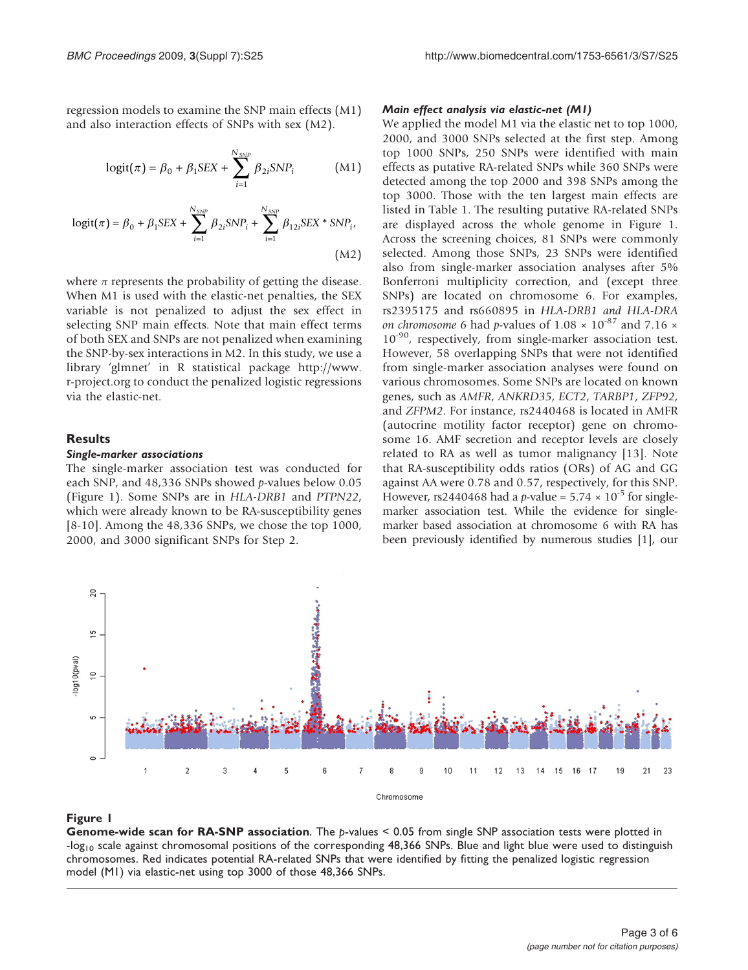regression models to examine the SNP main effects (M1) and also interaction effects of SNPs with sex (M2).

$$
logit(\pi) = \beta_0 + \beta_1 SEX + \sum_{i=1}^{N_{SNP}} \beta_{2i} SNP_i
$$
 (M1)

$$
logit(\pi) = \beta_0 + \beta_1 SEX + \sum_{i=1}^{N_{SNP}} \beta_{2i} SNP_i + \sum_{i=1}^{N_{SNP}} \beta_{12i}SEX * SNP_i,
$$
\n(M2)

where  $\pi$  represents the probability of getting the disease. When M1 is used with the elastic-net penalties, the SEX variable is not penalized to adjust the sex effect in selecting SNP main effects. Note that main effect terms of both SEX and SNPs are not penalized when examining the SNP-by-sex interactions in M2. In this study, we use a library 'glmnet' in R statistical package [http://www.](http://www.r-�project.org) [r-project.org](http://www.r-�project.org) to conduct the penalized logistic regressions via the elastic-net.

#### **Results**

#### Single-marker associations

The single-marker association test was conducted for each SNP, and 48,336 SNPs showed p-values below 0.05 (Figure 1). Some SNPs are in HLA-DRB1 and PTPN22, which were already known to be RA-susceptibility genes [[8-10](#page-5-0)]. Among the 48,336 SNPs, we chose the top 1000, 2000, and 3000 significant SNPs for Step 2.

#### Main effect analysis via elastic-net (M1)

We applied the model M1 via the elastic net to top 1000, 2000, and 3000 SNPs selected at the first step. Among top 1000 SNPs, 250 SNPs were identified with main effects as putative RA-related SNPs while 360 SNPs were detected among the top 2000 and 398 SNPs among the top 3000. Those with the ten largest main effects are listed in [Table 1.](#page-3-0) The resulting putative RA-related SNPs are displayed across the whole genome in Figure 1. Across the screening choices, 81 SNPs were commonly selected. Among those SNPs, 23 SNPs were identified also from single-marker association analyses after 5% Bonferroni multiplicity correction, and (except three SNPs) are located on chromosome 6. For examples, rs2395175 and rs660895 in HLA-DRB1 and HLA-DRA on chromosome 6 had p-values of  $1.08 \times 10^{-87}$  and  $7.16 \times$  $10^{-90}$ , respectively, from single-marker association test. However, 58 overlapping SNPs that were not identified from single-marker association analyses were found on various chromosomes. Some SNPs are located on known genes, such as AMFR, ANKRD35, ECT2, TARBP1, ZFP92, and ZFPM2. For instance, rs2440468 is located in AMFR (autocrine motility factor receptor) gene on chromosome 16. AMF secretion and receptor levels are closely related to RA as well as tumor malignancy [[13\]](#page-5-0). Note that RA-susceptibility odds ratios (ORs) of AG and GG against AA were 0.78 and 0.57, respectively, for this SNP. However, rs2440468 had a p-value =  $5.74 \times 10^{-5}$  for singlemarker association test. While the evidence for singlemarker based association at chromosome 6 with RA has been previously identified by numerous studies [[1\]](#page-4-0), our



#### Figure 1

**Genome-wide scan for RA-SNP association**. The  $p$ -values  $\leq$  0.05 from single SNP association tests were plotted in -log<sub>10</sub> scale against chromosomal positions of the corresponding 48,366 SNPs. Blue and light blue were used to distinguish chromosomes. Red indicates potential RA-related SNPs that were identified by fitting the penalized logistic regression model (M1) via elastic-net using top 3000 of those 48,366 SNPs.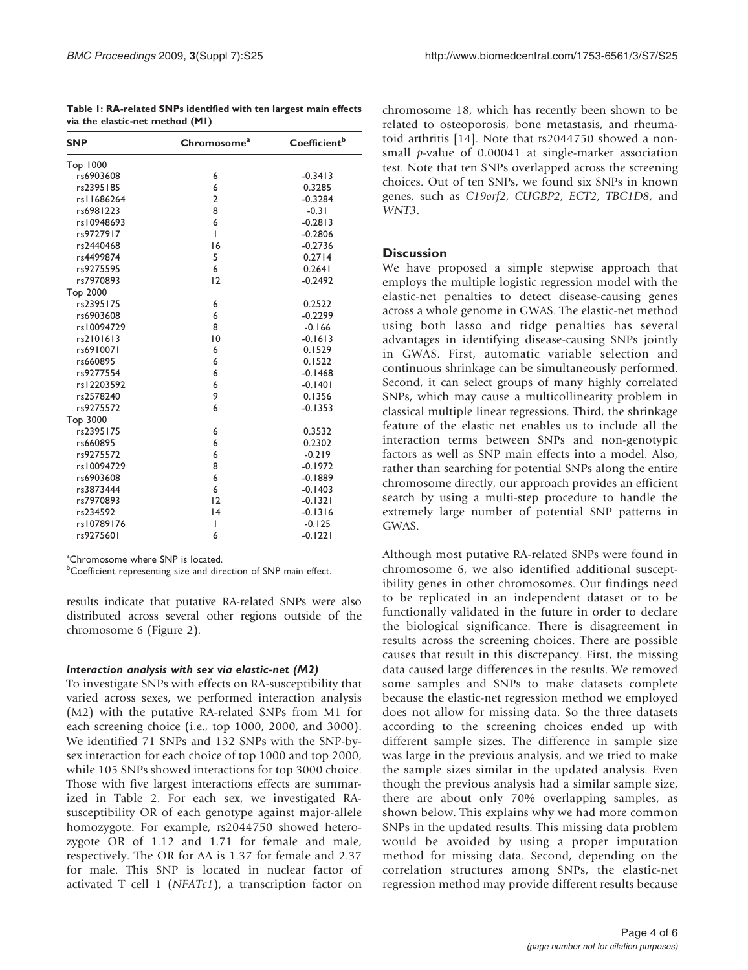<span id="page-3-0"></span>

| Table 1: RA-related SNPs identified with ten largest main effects |
|-------------------------------------------------------------------|
| via the elastic-net method (MI)                                   |

| <b>SNP</b>      | Chromosome <sup>a</sup> | Coefficient <sup>b</sup> |
|-----------------|-------------------------|--------------------------|
| <b>Top 1000</b> |                         |                          |
| rs6903608       | 6                       | $-0.3413$                |
| rs2395185       | 6                       | 0.3285                   |
| rs11686264      | $\overline{2}$          | $-0.3284$                |
| rs6981223       | 8                       | $-0.31$                  |
| rs10948693      | 6                       | $-0.2813$                |
| rs9727917       | I                       | $-0.2806$                |
| rs2440468       | 16                      | $-0.2736$                |
| rs4499874       | 5                       | 0.2714                   |
| rs9275595       | 6                       | 0.2641                   |
| rs7970893       | $\overline{2}$          | $-0.2492$                |
| Top 2000        |                         |                          |
| rs2395175       | 6                       | 0.2522                   |
| rs6903608       | 6                       | $-0.2299$                |
| rs10094729      | 8                       | $-0.166$                 |
| rs2101613       | 10                      | $-0.1613$                |
| rs6910071       | 6                       | 0.1529                   |
| rs660895        | 6                       | 0.1522                   |
| rs9277554       | 6                       | $-0.1468$                |
| rs12203592      | 6                       | $-0.1401$                |
| rs2578240       | 9                       | 0.1356                   |
| rs9275572       | 6                       | $-0.1353$                |
| Top 3000        |                         |                          |
| rs2395175       | 6                       | 0.3532                   |
| rs660895        | 6                       | 0.2302                   |
| rs9275572       | 6                       | $-0.219$                 |
| rs10094729      | 8                       | $-0.1972$                |
| rs6903608       | 6                       | $-0.1889$                |
| rs3873444       | 6                       | $-0.1403$                |
| rs7970893       | 12                      | $-0.1321$                |
| rs234592        | 4                       | $-0.1316$                |
| rs10789176      | T                       | $-0.125$                 |
| rs9275601       | 6                       | $-0.1221$                |

<sup>a</sup>Chromosome where SNP is located.

<sup>b</sup>Coefficient representing size and direction of SNP main effect.

results indicate that putative RA-related SNPs were also distributed across several other regions outside of the chromosome 6 [\(Figure 2\)](#page-4-0).

#### Interaction analysis with sex via elastic-net (M2)

To investigate SNPs with effects on RA-susceptibility that varied across sexes, we performed interaction analysis (M2) with the putative RA-related SNPs from M1 for each screening choice (i.e., top 1000, 2000, and 3000). We identified 71 SNPs and 132 SNPs with the SNP-bysex interaction for each choice of top 1000 and top 2000, while 105 SNPs showed interactions for top 3000 choice. Those with five largest interactions effects are summarized in [Table 2](#page-4-0). For each sex, we investigated RAsusceptibility OR of each genotype against major-allele homozygote. For example, rs2044750 showed heterozygote OR of 1.12 and 1.71 for female and male, respectively. The OR for AA is 1.37 for female and 2.37 for male. This SNP is located in nuclear factor of activated T cell 1 (NFATc1), a transcription factor on

chromosome 18, which has recently been shown to be related to osteoporosis, bone metastasis, and rheumatoid arthritis [[14](#page-5-0)]. Note that rs2044750 showed a nonsmall *p*-value of 0.00041 at single-marker association test. Note that ten SNPs overlapped across the screening choices. Out of ten SNPs, we found six SNPs in known genes, such as C19orf2, CUGBP2, ECT2, TBC1D8, and WNT3.

## **Discussion**

We have proposed a simple stepwise approach that employs the multiple logistic regression model with the elastic-net penalties to detect disease-causing genes across a whole genome in GWAS. The elastic-net method using both lasso and ridge penalties has several advantages in identifying disease-causing SNPs jointly in GWAS. First, automatic variable selection and continuous shrinkage can be simultaneously performed. Second, it can select groups of many highly correlated SNPs, which may cause a multicollinearity problem in classical multiple linear regressions. Third, the shrinkage feature of the elastic net enables us to include all the interaction terms between SNPs and non-genotypic factors as well as SNP main effects into a model. Also, rather than searching for potential SNPs along the entire chromosome directly, our approach provides an efficient search by using a multi-step procedure to handle the extremely large number of potential SNP patterns in GWAS.

Although most putative RA-related SNPs were found in chromosome 6, we also identified additional susceptibility genes in other chromosomes. Our findings need to be replicated in an independent dataset or to be functionally validated in the future in order to declare the biological significance. There is disagreement in results across the screening choices. There are possible causes that result in this discrepancy. First, the missing data caused large differences in the results. We removed some samples and SNPs to make datasets complete because the elastic-net regression method we employed does not allow for missing data. So the three datasets according to the screening choices ended up with different sample sizes. The difference in sample size was large in the previous analysis, and we tried to make the sample sizes similar in the updated analysis. Even though the previous analysis had a similar sample size, there are about only 70% overlapping samples, as shown below. This explains why we had more common SNPs in the updated results. This missing data problem would be avoided by using a proper imputation method for missing data. Second, depending on the correlation structures among SNPs, the elastic-net regression method may provide different results because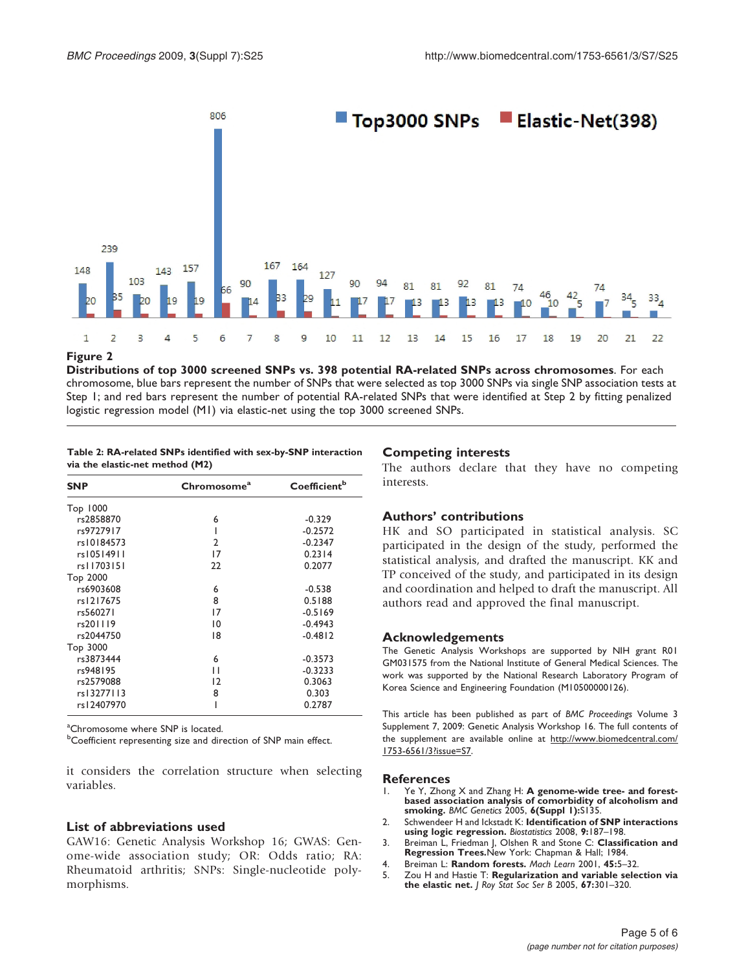<span id="page-4-0"></span>

Distributions of top 3000 screened SNPs vs. 398 potential RA-related SNPs across chromosomes. For each chromosome, blue bars represent the number of SNPs that were selected as top 3000 SNPs via single SNP association tests at Step 1; and red bars represent the number of potential RA-related SNPs that were identified at Step 2 by fitting penalized logistic regression model (M1) via elastic-net using the top 3000 screened SNPs.

#### Table 2: RA-related SNPs identified with sex-by-SNP interaction via the elastic-net method (M2)

| <b>SNP</b> | Chromosome <sup>a</sup> | Coefficient <sup>b</sup> |
|------------|-------------------------|--------------------------|
| Top 1000   |                         |                          |
| rs2858870  | 6                       | $-0.329$                 |
| rs9727917  | ı                       | $-0.2572$                |
| rs10184573 | 2                       | $-0.2347$                |
| rs10514911 | 17                      | 0.2314                   |
| rs11703151 | 22                      | 0.2077                   |
| Top 2000   |                         |                          |
| rs6903608  | 6                       | $-0.538$                 |
| rs1217675  | 8                       | 0.5188                   |
| rs560271   | 17                      | $-0.5169$                |
| rs201119   | 10                      | $-0.4943$                |
| rs2044750  | 18                      | $-0.4812$                |
| Top 3000   |                         |                          |
| rs3873444  | 6                       | $-0.3573$                |
| rs948195   | Н                       | $-0.3233$                |
| rs2579088  | 12                      | 0.3063                   |
| rs13277113 | 8                       | 0.303                    |
| rs12407970 | ı                       | 0.2787                   |

<sup>a</sup>Chromosome where SNP is located.

**bCoefficient representing size and direction of SNP main effect.** 

it considers the correlation structure when selecting variables.

# List of abbreviations used

GAW16: Genetic Analysis Workshop 16; GWAS: Genome-wide association study; OR: Odds ratio; RA: Rheumatoid arthritis; SNPs: Single-nucleotide polymorphisms.

# Competing interests

The authors declare that they have no competing interests.

# Authors' contributions

HK and SO participated in statistical analysis. SC participated in the design of the study, performed the statistical analysis, and drafted the manuscript. KK and TP conceived of the study, and participated in its design and coordination and helped to draft the manuscript. All authors read and approved the final manuscript.

#### Acknowledgements

The Genetic Analysis Workshops are supported by NIH grant R01 GM031575 from the National Institute of General Medical Sciences. The work was supported by the National Research Laboratory Program of Korea Science and Engineering Foundation (M10500000126).

This article has been published as part of BMC Proceedings Volume 3 Supplement 7, 2009: Genetic Analysis Workshop 16. The full contents of the supplement are available online at [http://www.biomedcentral.com/](http://www.biomedcentral.com/1753-6561/3?issue=S7) [1753-6561/3?issue=S7](http://www.biomedcentral.com/1753-6561/3?issue=S7).

#### **References**

- 1. Ye Y, Zhong X and Zhang H: [A genome-wide tree- and forest](http://www.ncbi.nlm.nih.gov/pubmed/16451594?dopt=Abstract)[based association analysis of comorbidity of alcoholism and](http://www.ncbi.nlm.nih.gov/pubmed/16451594?dopt=Abstract) [smoking.](http://www.ncbi.nlm.nih.gov/pubmed/16451594?dopt=Abstract) BMC Genetics 2005, 6(Suppl 1):S135.
- 2. Schwendeer H and Ickstadt K: **[Identification of SNP interactions](http://www.ncbi.nlm.nih.gov/pubmed/17578898?dopt=Abstract)**<br>[using logic regression.](http://www.ncbi.nlm.nih.gov/pubmed/17578898?dopt=Abstract) Biostatistics 2008, 9:187–198.
- 3. Breiman L, Friedman J, Olshen R and Stone C: Classification and Regression Trees.New York: Chapman & Hall; 1984.
- 4. Breiman L: Random forests. Mach Learn 2001, 45:5–32.
- 5. Zou H and Hastie T: Regularization and variable selection via the elastic net. J Roy Stat Soc Ser B 2005, 67:301-320.